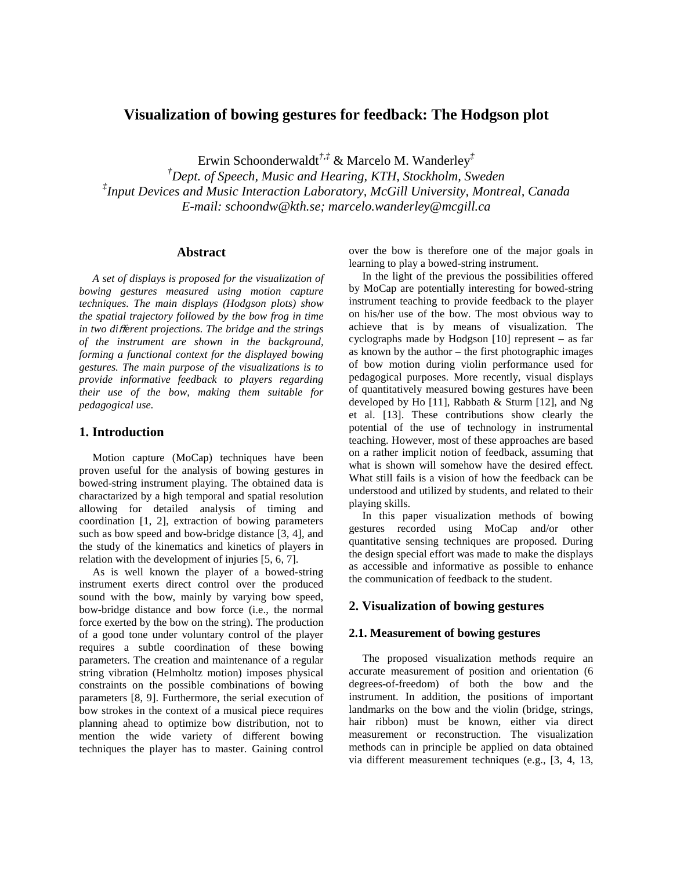# **Visualization of bowing gestures for feedback: The Hodgson plot**

Erwin Schoonderwaldt*†*,*‡* & Marcelo M. Wanderley*‡*

*†Dept. of Speech, Music and Hearing, KTH, Stockholm, Sweden ‡ Input Devices and Music Interaction Laboratory, McGill University, Montreal, Canada E-mail: schoondw@kth.se; marcelo.wanderley@mcgill.ca* 

#### **Abstract**

*A set of displays is proposed for the visualization of bowing gestures measured using motion capture techniques. The main displays (Hodgson plots) show the spatial trajectory followed by the bow frog in time in two di*ff*erent projections. The bridge and the strings of the instrument are shown in the background, forming a functional context for the displayed bowing gestures. The main purpose of the visualizations is to provide informative feedback to players regarding their use of the bow, making them suitable for pedagogical use.* 

### **1. Introduction**

Motion capture (MoCap) techniques have been proven useful for the analysis of bowing gestures in bowed-string instrument playing. The obtained data is charactarized by a high temporal and spatial resolution allowing for detailed analysis of timing and coordination [1, 2], extraction of bowing parameters such as bow speed and bow-bridge distance [3, 4], and the study of the kinematics and kinetics of players in relation with the development of injuries [5, 6, 7].

As is well known the player of a bowed-string instrument exerts direct control over the produced sound with the bow, mainly by varying bow speed, bow-bridge distance and bow force (i.e., the normal force exerted by the bow on the string). The production of a good tone under voluntary control of the player requires a subtle coordination of these bowing parameters. The creation and maintenance of a regular string vibration (Helmholtz motion) imposes physical constraints on the possible combinations of bowing parameters [8, 9]. Furthermore, the serial execution of bow strokes in the context of a musical piece requires planning ahead to optimize bow distribution, not to mention the wide variety of different bowing techniques the player has to master. Gaining control

over the bow is therefore one of the major goals in learning to play a bowed-string instrument.

In the light of the previous the possibilities offered by MoCap are potentially interesting for bowed-string instrument teaching to provide feedback to the player on his/her use of the bow. The most obvious way to achieve that is by means of visualization. The cyclographs made by Hodgson [10] represent – as far as known by the author – the first photographic images of bow motion during violin performance used for pedagogical purposes. More recently, visual displays of quantitatively measured bowing gestures have been developed by Ho [11], Rabbath & Sturm [12], and Ng et al. [13]. These contributions show clearly the potential of the use of technology in instrumental teaching. However, most of these approaches are based on a rather implicit notion of feedback, assuming that what is shown will somehow have the desired effect. What still fails is a vision of how the feedback can be understood and utilized by students, and related to their playing skills.

In this paper visualization methods of bowing gestures recorded using MoCap and/or other quantitative sensing techniques are proposed. During the design special effort was made to make the displays as accessible and informative as possible to enhance the communication of feedback to the student.

### **2. Visualization of bowing gestures**

#### **2.1. Measurement of bowing gestures**

The proposed visualization methods require an accurate measurement of position and orientation (6 degrees-of-freedom) of both the bow and the instrument. In addition, the positions of important landmarks on the bow and the violin (bridge, strings, hair ribbon) must be known, either via direct measurement or reconstruction. The visualization methods can in principle be applied on data obtained via different measurement techniques (e.g., [3, 4, 13,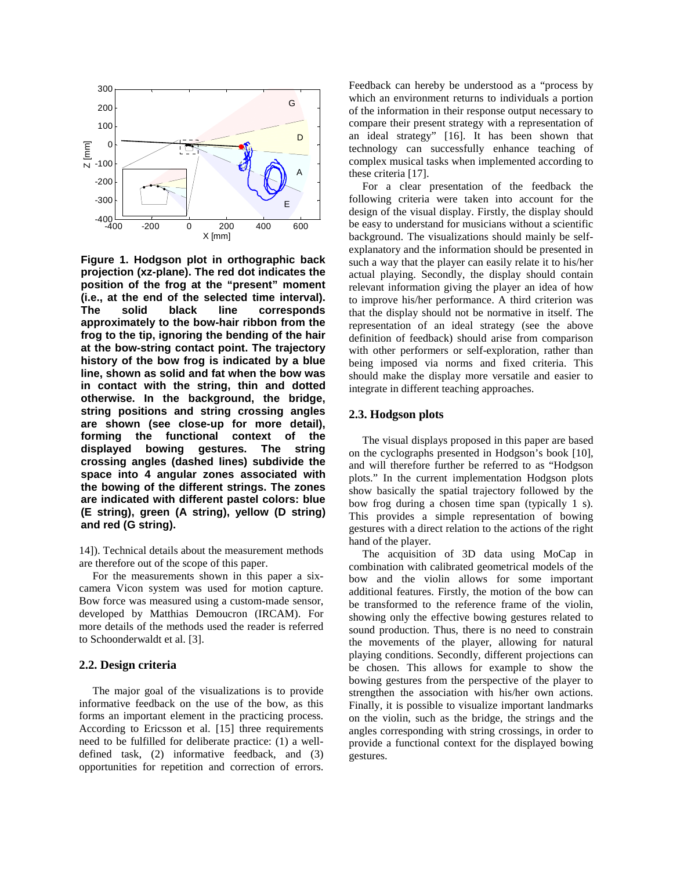

**Figure 1. Hodgson plot in orthographic back projection (xz-plane). The red dot indicates the position of the frog at the "present" moment (i.e., at the end of the selected time interval). The solid black line corresponds approximately to the bow-hair ribbon from the frog to the tip, ignoring the bending of the hair at the bow-string contact point. The trajectory history of the bow frog is indicated by a blue line, shown as solid and fat when the bow was in contact with the string, thin and dotted otherwise. In the background, the bridge, string positions and string crossing angles are shown (see close-up for more detail), forming the functional context of the displayed bowing gestures. The string crossing angles (dashed lines) subdivide the space into 4 angular zones associated with the bowing of the different strings. The zones are indicated with different pastel colors: blue (E string), green (A string), yellow (D string) and red (G string).**

14]). Technical details about the measurement methods are therefore out of the scope of this paper.

For the measurements shown in this paper a sixcamera Vicon system was used for motion capture. Bow force was measured using a custom-made sensor, developed by Matthias Demoucron (IRCAM). For more details of the methods used the reader is referred to Schoonderwaldt et al. [3].

#### **2.2. Design criteria**

The major goal of the visualizations is to provide informative feedback on the use of the bow, as this forms an important element in the practicing process. According to Ericsson et al. [15] three requirements need to be fulfilled for deliberate practice: (1) a welldefined task, (2) informative feedback, and (3) opportunities for repetition and correction of errors. Feedback can hereby be understood as a "process by which an environment returns to individuals a portion of the information in their response output necessary to compare their present strategy with a representation of an ideal strategy" [16]. It has been shown that technology can successfully enhance teaching of complex musical tasks when implemented according to these criteria [17].

For a clear presentation of the feedback the following criteria were taken into account for the design of the visual display. Firstly, the display should be easy to understand for musicians without a scientific background. The visualizations should mainly be selfexplanatory and the information should be presented in such a way that the player can easily relate it to his/her actual playing. Secondly, the display should contain relevant information giving the player an idea of how to improve his/her performance. A third criterion was that the display should not be normative in itself. The representation of an ideal strategy (see the above definition of feedback) should arise from comparison with other performers or self-exploration, rather than being imposed via norms and fixed criteria. This should make the display more versatile and easier to integrate in different teaching approaches.

#### **2.3. Hodgson plots**

The visual displays proposed in this paper are based on the cyclographs presented in Hodgson's book [10], and will therefore further be referred to as "Hodgson plots." In the current implementation Hodgson plots show basically the spatial trajectory followed by the bow frog during a chosen time span (typically 1 s). This provides a simple representation of bowing gestures with a direct relation to the actions of the right hand of the player.

The acquisition of 3D data using MoCap in combination with calibrated geometrical models of the bow and the violin allows for some important additional features. Firstly, the motion of the bow can be transformed to the reference frame of the violin, showing only the effective bowing gestures related to sound production. Thus, there is no need to constrain the movements of the player, allowing for natural playing conditions. Secondly, different projections can be chosen. This allows for example to show the bowing gestures from the perspective of the player to strengthen the association with his/her own actions. Finally, it is possible to visualize important landmarks on the violin, such as the bridge, the strings and the angles corresponding with string crossings, in order to provide a functional context for the displayed bowing gestures.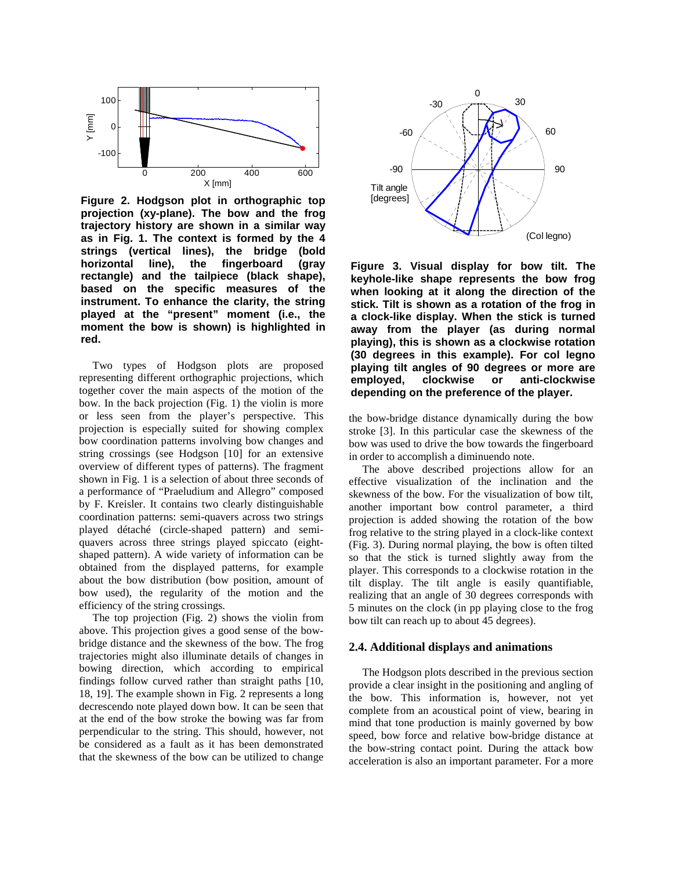

**Figure 2. Hodgson plot in orthographic top projection (xy-plane). The bow and the frog trajectory history are shown in a similar way as in Fig. 1. The context is formed by the 4 strings (vertical lines), the bridge (bold horizontal line), the fingerboard (gray rectangle) and the tailpiece (black shape), based on the specific measures of the instrument. To enhance the clarity, the string played at the "present" moment (i.e., the moment the bow is shown) is highlighted in red.**

Two types of Hodgson plots are proposed representing different orthographic projections, which together cover the main aspects of the motion of the bow. In the back projection (Fig. 1) the violin is more or less seen from the player's perspective. This projection is especially suited for showing complex bow coordination patterns involving bow changes and string crossings (see Hodgson [10] for an extensive overview of different types of patterns). The fragment shown in Fig. 1 is a selection of about three seconds of a performance of "Praeludium and Allegro" composed by F. Kreisler. It contains two clearly distinguishable coordination patterns: semi-quavers across two strings played détaché (circle-shaped pattern) and semiquavers across three strings played spiccato (eightshaped pattern). A wide variety of information can be obtained from the displayed patterns, for example about the bow distribution (bow position, amount of bow used), the regularity of the motion and the efficiency of the string crossings.

The top projection (Fig. 2) shows the violin from above. This projection gives a good sense of the bowbridge distance and the skewness of the bow. The frog trajectories might also illuminate details of changes in bowing direction, which according to empirical findings follow curved rather than straight paths [10, 18, 19]. The example shown in Fig. 2 represents a long decrescendo note played down bow. It can be seen that at the end of the bow stroke the bowing was far from perpendicular to the string. This should, however, not be considered as a fault as it has been demonstrated that the skewness of the bow can be utilized to change



**Figure 3. Visual display for bow tilt. The keyhole-like shape represents the bow frog when looking at it along the direction of the stick. Tilt is shown as a rotation of the frog in a clock-like display. When the stick is turned away from the player (as during normal playing), this is shown as a clockwise rotation (30 degrees in this example). For col legno playing tilt angles of 90 degrees or more are employed, clockwise or anti-clockwise depending on the preference of the player.**

the bow-bridge distance dynamically during the bow stroke [3]. In this particular case the skewness of the bow was used to drive the bow towards the fingerboard in order to accomplish a diminuendo note.

The above described projections allow for an effective visualization of the inclination and the skewness of the bow. For the visualization of bow tilt, another important bow control parameter, a third projection is added showing the rotation of the bow frog relative to the string played in a clock-like context (Fig. 3). During normal playing, the bow is often tilted so that the stick is turned slightly away from the player. This corresponds to a clockwise rotation in the tilt display. The tilt angle is easily quantifiable, realizing that an angle of 30 degrees corresponds with 5 minutes on the clock (in pp playing close to the frog bow tilt can reach up to about 45 degrees).

### **2.4. Additional displays and animations**

The Hodgson plots described in the previous section provide a clear insight in the positioning and angling of the bow. This information is, however, not yet complete from an acoustical point of view, bearing in mind that tone production is mainly governed by bow speed, bow force and relative bow-bridge distance at the bow-string contact point. During the attack bow acceleration is also an important parameter. For a more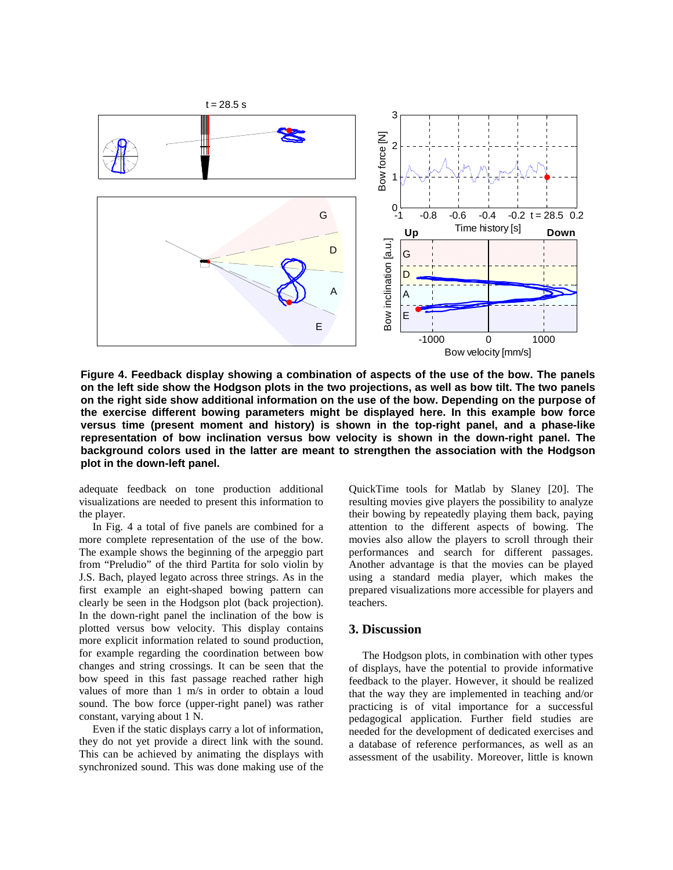

**Figure 4. Feedback display showing a combination of aspects of the use of the bow. The panels on the left side show the Hodgson plots in the two projections, as well as bow tilt. The two panels on the right side show additional information on the use of the bow. Depending on the purpose of the exercise different bowing parameters might be displayed here. In this example bow force versus time (present moment and history) is shown in the top-right panel, and a phase-like representation of bow inclination versus bow velocity is shown in the down-right panel. The background colors used in the latter are meant to strengthen the association with the Hodgson plot in the down-left panel.**

adequate feedback on tone production additional visualizations are needed to present this information to the player.

In Fig. 4 a total of five panels are combined for a more complete representation of the use of the bow. The example shows the beginning of the arpeggio part from "Preludio" of the third Partita for solo violin by J.S. Bach, played legato across three strings. As in the first example an eight-shaped bowing pattern can clearly be seen in the Hodgson plot (back projection). In the down-right panel the inclination of the bow is plotted versus bow velocity. This display contains more explicit information related to sound production, for example regarding the coordination between bow changes and string crossings. It can be seen that the bow speed in this fast passage reached rather high values of more than 1 m/s in order to obtain a loud sound. The bow force (upper-right panel) was rather constant, varying about 1 N.

Even if the static displays carry a lot of information, they do not yet provide a direct link with the sound. This can be achieved by animating the displays with synchronized sound. This was done making use of the

QuickTime tools for Matlab by Slaney [20]. The resulting movies give players the possibility to analyze their bowing by repeatedly playing them back, paying attention to the different aspects of bowing. The movies also allow the players to scroll through their performances and search for different passages. Another advantage is that the movies can be played using a standard media player, which makes the prepared visualizations more accessible for players and teachers.

### **3. Discussion**

The Hodgson plots, in combination with other types of displays, have the potential to provide informative feedback to the player. However, it should be realized that the way they are implemented in teaching and/or practicing is of vital importance for a successful pedagogical application. Further field studies are needed for the development of dedicated exercises and a database of reference performances, as well as an assessment of the usability. Moreover, little is known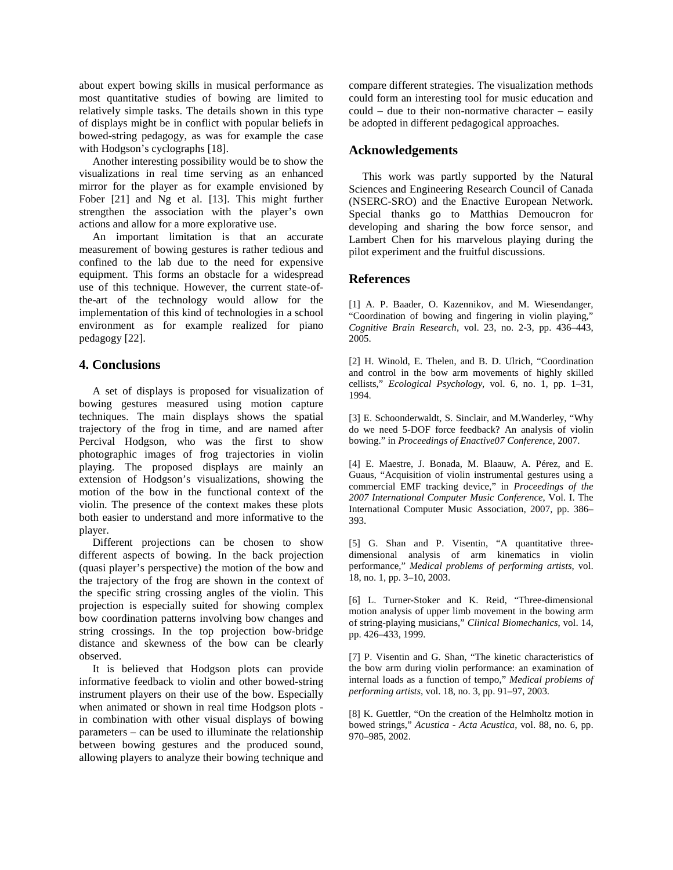about expert bowing skills in musical performance as most quantitative studies of bowing are limited to relatively simple tasks. The details shown in this type of displays might be in conflict with popular beliefs in bowed-string pedagogy, as was for example the case with Hodgson's cyclographs [18].

Another interesting possibility would be to show the visualizations in real time serving as an enhanced mirror for the player as for example envisioned by Fober [21] and Ng et al. [13]. This might further strengthen the association with the player's own actions and allow for a more explorative use.

An important limitation is that an accurate measurement of bowing gestures is rather tedious and confined to the lab due to the need for expensive equipment. This forms an obstacle for a widespread use of this technique. However, the current state-ofthe-art of the technology would allow for the implementation of this kind of technologies in a school environment as for example realized for piano pedagogy [22].

# **4. Conclusions**

A set of displays is proposed for visualization of bowing gestures measured using motion capture techniques. The main displays shows the spatial trajectory of the frog in time, and are named after Percival Hodgson, who was the first to show photographic images of frog trajectories in violin playing. The proposed displays are mainly an extension of Hodgson's visualizations, showing the motion of the bow in the functional context of the violin. The presence of the context makes these plots both easier to understand and more informative to the player.

Different projections can be chosen to show different aspects of bowing. In the back projection (quasi player's perspective) the motion of the bow and the trajectory of the frog are shown in the context of the specific string crossing angles of the violin. This projection is especially suited for showing complex bow coordination patterns involving bow changes and string crossings. In the top projection bow-bridge distance and skewness of the bow can be clearly observed.

It is believed that Hodgson plots can provide informative feedback to violin and other bowed-string instrument players on their use of the bow. Especially when animated or shown in real time Hodgson plots in combination with other visual displays of bowing parameters – can be used to illuminate the relationship between bowing gestures and the produced sound, allowing players to analyze their bowing technique and

compare different strategies. The visualization methods could form an interesting tool for music education and could – due to their non-normative character – easily be adopted in different pedagogical approaches.

# **Acknowledgements**

This work was partly supported by the Natural Sciences and Engineering Research Council of Canada (NSERC-SRO) and the Enactive European Network. Special thanks go to Matthias Demoucron for developing and sharing the bow force sensor, and Lambert Chen for his marvelous playing during the pilot experiment and the fruitful discussions.

# **References**

[1] A. P. Baader, O. Kazennikov, and M. Wiesendanger, "Coordination of bowing and fingering in violin playing," *Cognitive Brain Research*, vol. 23, no. 2-3, pp. 436–443, 2005.

[2] H. Winold, E. Thelen, and B. D. Ulrich, "Coordination and control in the bow arm movements of highly skilled cellists," *Ecological Psychology*, vol. 6, no. 1, pp. 1–31, 1994.

[3] E. Schoonderwaldt, S. Sinclair, and M.Wanderley, "Why do we need 5-DOF force feedback? An analysis of violin bowing." in *Proceedings of Enactive07 Conference*, 2007.

[4] E. Maestre, J. Bonada, M. Blaauw, A. Pérez, and E. Guaus, "Acquisition of violin instrumental gestures using a commercial EMF tracking device," in *Proceedings of the 2007 International Computer Music Conference*, Vol. I. The International Computer Music Association, 2007, pp. 386– 393.

[5] G. Shan and P. Visentin, "A quantitative threedimensional analysis of arm kinematics in violin performance," *Medical problems of performing artists*, vol. 18, no. 1, pp. 3–10, 2003.

[6] L. Turner-Stoker and K. Reid, "Three-dimensional motion analysis of upper limb movement in the bowing arm of string-playing musicians," *Clinical Biomechanics*, vol. 14, pp. 426–433, 1999.

[7] P. Visentin and G. Shan, "The kinetic characteristics of the bow arm during violin performance: an examination of internal loads as a function of tempo," *Medical problems of performing artists*, vol. 18, no. 3, pp. 91–97, 2003.

[8] K. Guettler, "On the creation of the Helmholtz motion in bowed strings," *Acustica - Acta Acustica*, vol. 88, no. 6, pp. 970–985, 2002.